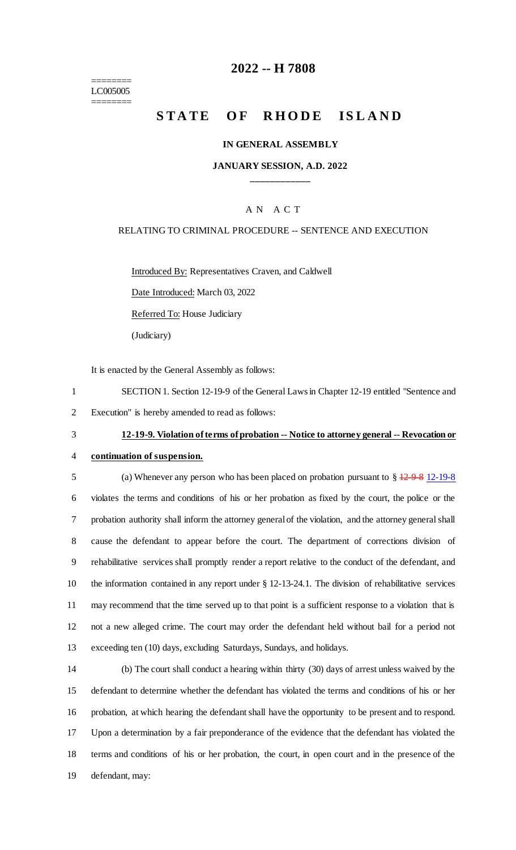======== LC005005 ========

# **2022 -- H 7808**

# **STATE OF RHODE ISLAND**

#### **IN GENERAL ASSEMBLY**

### **JANUARY SESSION, A.D. 2022 \_\_\_\_\_\_\_\_\_\_\_\_**

#### A N A C T

#### RELATING TO CRIMINAL PROCEDURE -- SENTENCE AND EXECUTION

Introduced By: Representatives Craven, and Caldwell

Date Introduced: March 03, 2022

Referred To: House Judiciary

(Judiciary)

It is enacted by the General Assembly as follows:

1 SECTION 1. Section 12-19-9 of the General Laws in Chapter 12-19 entitled "Sentence and 2 Execution" is hereby amended to read as follows:

## 3 **12-19-9. Violation of terms of probation -- Notice to attorney general -- Revocation or**

# 4 **continuation of suspension.**

 (a) Whenever any person who has been placed on probation pursuant to § 12-9-8 12-19-8 violates the terms and conditions of his or her probation as fixed by the court, the police or the probation authority shall inform the attorney general of the violation, and the attorney general shall cause the defendant to appear before the court. The department of corrections division of rehabilitative services shall promptly render a report relative to the conduct of the defendant, and the information contained in any report under § 12-13-24.1. The division of rehabilitative services may recommend that the time served up to that point is a sufficient response to a violation that is not a new alleged crime. The court may order the defendant held without bail for a period not exceeding ten (10) days, excluding Saturdays, Sundays, and holidays.

 (b) The court shall conduct a hearing within thirty (30) days of arrest unless waived by the defendant to determine whether the defendant has violated the terms and conditions of his or her probation, at which hearing the defendant shall have the opportunity to be present and to respond. Upon a determination by a fair preponderance of the evidence that the defendant has violated the terms and conditions of his or her probation, the court, in open court and in the presence of the defendant, may: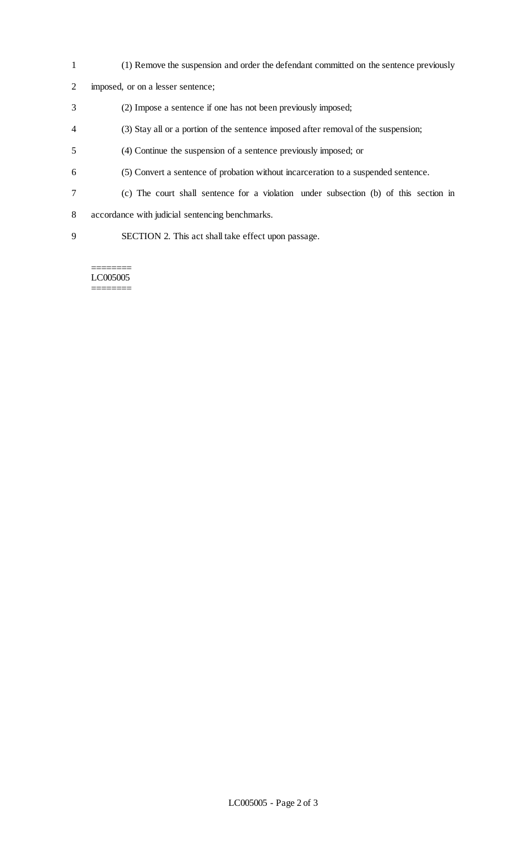- (1) Remove the suspension and order the defendant committed on the sentence previously
- imposed, or on a lesser sentence;
- (2) Impose a sentence if one has not been previously imposed;
- (3) Stay all or a portion of the sentence imposed after removal of the suspension;
- (4) Continue the suspension of a sentence previously imposed; or
- (5) Convert a sentence of probation without incarceration to a suspended sentence.
- (c) The court shall sentence for a violation under subsection (b) of this section in
- accordance with judicial sentencing benchmarks.
- SECTION 2. This act shall take effect upon passage.

======== LC005005 ========